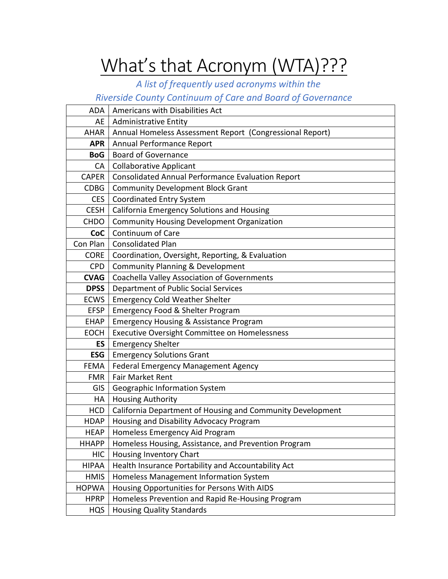## What's that Acronym (WTA)???

## *A list of frequently used acronyms within the*

## *Riverside County Continuum of Care and Board of Governance*

| ADA          | Americans with Disabilities Act                            |
|--------------|------------------------------------------------------------|
| AE           | <b>Administrative Entity</b>                               |
| <b>AHAR</b>  | Annual Homeless Assessment Report (Congressional Report)   |
| <b>APR</b>   | Annual Performance Report                                  |
| <b>BoG</b>   | <b>Board of Governance</b>                                 |
| CA           | <b>Collaborative Applicant</b>                             |
| <b>CAPER</b> | Consolidated Annual Performance Evaluation Report          |
| <b>CDBG</b>  | <b>Community Development Block Grant</b>                   |
| <b>CES</b>   | <b>Coordinated Entry System</b>                            |
| <b>CESH</b>  | California Emergency Solutions and Housing                 |
| <b>CHDO</b>  | <b>Community Housing Development Organization</b>          |
| CoC          | Continuum of Care                                          |
| Con Plan     | <b>Consolidated Plan</b>                                   |
| <b>CORE</b>  | Coordination, Oversight, Reporting, & Evaluation           |
| <b>CPD</b>   | <b>Community Planning &amp; Development</b>                |
| <b>CVAG</b>  | Coachella Valley Association of Governments                |
| <b>DPSS</b>  | Department of Public Social Services                       |
| <b>ECWS</b>  | <b>Emergency Cold Weather Shelter</b>                      |
| <b>EFSP</b>  | Emergency Food & Shelter Program                           |
| <b>EHAP</b>  | <b>Emergency Housing &amp; Assistance Program</b>          |
| <b>EOCH</b>  | <b>Executive Oversight Committee on Homelessness</b>       |
| ES           | <b>Emergency Shelter</b>                                   |
| <b>ESG</b>   | <b>Emergency Solutions Grant</b>                           |
| <b>FEMA</b>  | Federal Emergency Management Agency                        |
| <b>FMR</b>   | <b>Fair Market Rent</b>                                    |
| GIS          | Geographic Information System                              |
| HA           | <b>Housing Authority</b>                                   |
| <b>HCD</b>   | California Department of Housing and Community Development |
| <b>HDAP</b>  | Housing and Disability Advocacy Program                    |
| <b>HEAP</b>  | Homeless Emergency Aid Program                             |
| <b>HHAPP</b> | Homeless Housing, Assistance, and Prevention Program       |
| <b>HIC</b>   | Housing Inventory Chart                                    |
| <b>HIPAA</b> | Health Insurance Portability and Accountability Act        |
| <b>HMIS</b>  | Homeless Management Information System                     |
| <b>HOPWA</b> | Housing Opportunities for Persons With AIDS                |
| <b>HPRP</b>  | Homeless Prevention and Rapid Re-Housing Program           |
| <b>HQS</b>   | <b>Housing Quality Standards</b>                           |